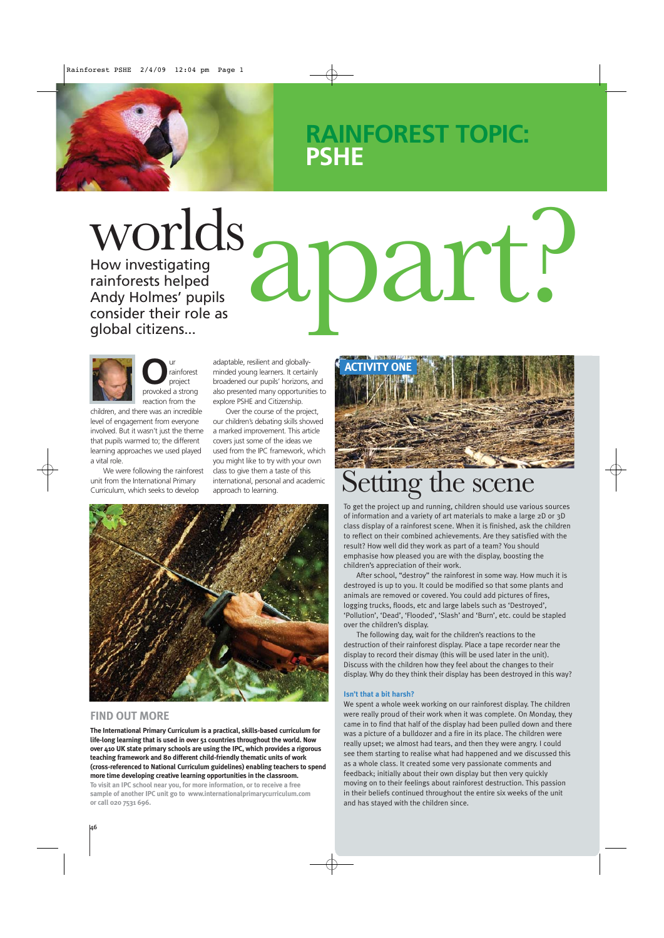## **RAINFOREST TOPIC: PSHE**

 $\text{Worlds}\underset{\text{flow investigating}\atop \text{canify Holmes' pupils}\atop \text{global citizens...}}{\text{Aperal}} \text{aperal} \ \text{part.}$ How investigating rainforests helped Andy Holmes' pupils consider their role as global citizens...

**O**ur<br>
project<br>
provoked a strong rainforest project reaction from the

children, and there was an incredible level of engagement from everyone involved. But it wasn't just the theme that pupils warmed to; the different learning approaches we used played a vital role.

We were following the rainforest unit from the International Primary Curriculum, which seeks to develop

adaptable, resilient and globallyminded young learners. It certainly broadened our pupils' horizons, and also presented many opportunities to explore PSHE and Citizenship.

Over the course of the project, our children's debating skills showed a marked improvement. This article covers just some of the ideas we used from the IPC framework, which you might like to try with your own class to give them a taste of this international, personal and academic



#### **FIND OUT MORE**

**The International Primary Curriculum is a practical, skills-based curriculum for life-long learning that is used in over 51 countries throughout the world. Now over 410 UK state primary schools are using the IPC, which provides a rigorous teaching framework and 80 different child-friendly thematic units of work (cross-referenced to National Curriculum guidelines) enabling teachers to spend more time developing creative learning opportunities in the classroom. To visit an IPC school near you, for more information, or to receive a free sample of another IPC unit go to www.internationalprimarycurriculum.com or call 020 7531 696.**



# class to give them a taste of this<br>international, personal and academic Setting the Scene Scene

To get the project up and running, children should use various sources of information and a variety of art materials to make a large 2D or 3D class display of a rainforest scene. When it is finished, ask the children to reflect on their combined achievements. Are they satisfied with the result? How well did they work as part of a team? You should emphasise how pleased you are with the display, boosting the children's appreciation of their work.

After school, "destroy" the rainforest in some way. How much it is destroyed is up to you. It could be modified so that some plants and animals are removed or covered. You could add pictures of fires, logging trucks, floods, etc and large labels such as 'Destroyed', 'Pollution', 'Dead', 'Flooded', 'Slash' and 'Burn', etc. could be stapled over the children's display.

The following day, wait for the children's reactions to the destruction of their rainforest display. Place a tape recorder near the display to record their dismay (this will be used later in the unit). Discuss with the children how they feel about the changes to their display. Why do they think their display has been destroyed in this way?

#### **Isn't that a bit harsh?**

We spent a whole week working on our rainforest display. The children were really proud of their work when it was complete. On Monday, they came in to find that half of the display had been pulled down and there was a picture of a bulldozer and a fire in its place. The children were really upset; we almost had tears, and then they were angry. I could see them starting to realise what had happened and we discussed this as a whole class. It created some very passionate comments and feedback; initially about their own display but then very quickly moving on to their feelings about rainforest destruction. This passion in their beliefs continued throughout the entire six weeks of the unit and has stayed with the children since.